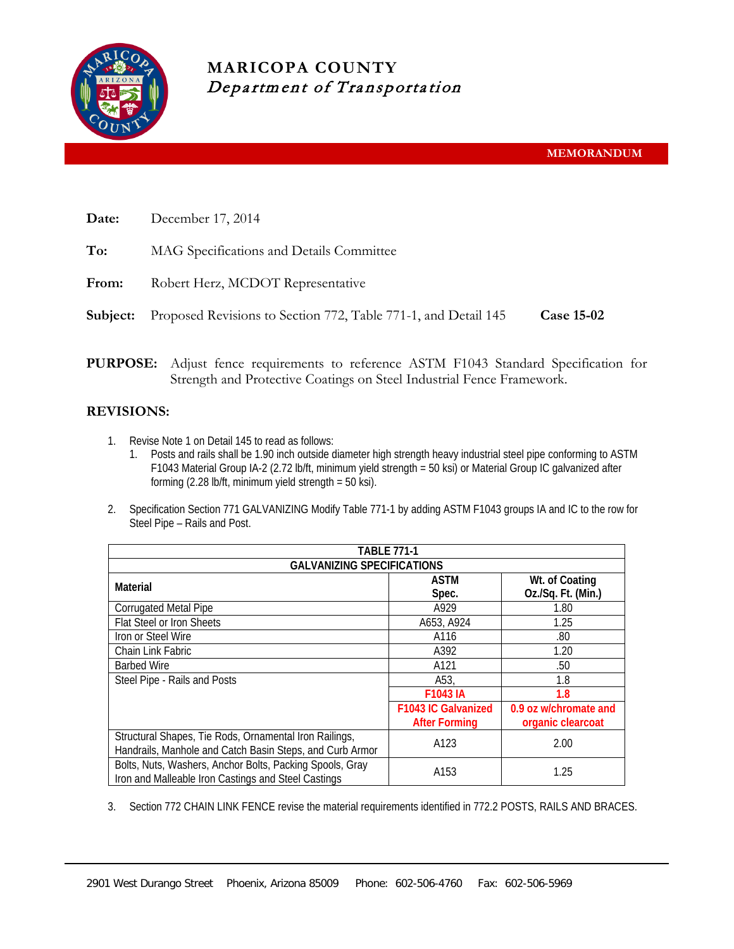

# **MARICOPA COUNTY** Department of Transportation

**MEMORANDUM**

|     | <b>Date:</b> December 17, 2014           |
|-----|------------------------------------------|
| To: | MAG Specifications and Details Committee |

From: Robert Herz, MCDOT Representative

**Subject:** Proposed Revisions to Section 772, Table 771-1, and Detail 145 **Case 15-02**

**PURPOSE:** Adjust fence requirements to reference ASTM F1043 Standard Specification for Strength and Protective Coatings on Steel Industrial Fence Framework.

# **REVISIONS:**

- 1. Revise Note 1 on Detail 145 to read as follows:
	- 1. Posts and rails shall be 1.90 inch outside diameter high strength heavy industrial steel pipe conforming to ASTM F1043 Material Group IA-2 (2.72 lb/ft, minimum yield strength = 50 ksi) or Material Group IC galvanized after forming (2.28 lb/ft, minimum yield strength = 50 ksi).
- 2. Specification Section 771 GALVANIZING Modify Table 771-1 by adding ASTM F1043 groups IA and IC to the row for Steel Pipe – Rails and Post.

| <b>TABLE 771-1</b>                                       |                            |                       |  |  |  |  |
|----------------------------------------------------------|----------------------------|-----------------------|--|--|--|--|
| <b>GALVANIZING SPECIFICATIONS</b>                        |                            |                       |  |  |  |  |
| Material                                                 | <b>ASTM</b>                | Wt. of Coating        |  |  |  |  |
|                                                          | Spec.                      | Oz./Sq. Ft. (Min.)    |  |  |  |  |
| <b>Corrugated Metal Pipe</b>                             | A929                       | 1.80                  |  |  |  |  |
| <b>Flat Steel or Iron Sheets</b>                         | A653, A924                 | 1.25                  |  |  |  |  |
| Iron or Steel Wire                                       | A116                       | .80                   |  |  |  |  |
| Chain Link Fabric                                        | A392                       | 1.20                  |  |  |  |  |
| <b>Barbed Wire</b>                                       | A121                       | .50                   |  |  |  |  |
| Steel Pipe - Rails and Posts                             | A53,                       | 1.8                   |  |  |  |  |
|                                                          | <b>F1043 IA</b>            | 1.8                   |  |  |  |  |
|                                                          | <b>F1043 IC Galvanized</b> | 0.9 oz w/chromate and |  |  |  |  |
|                                                          | <b>After Forming</b>       | organic clearcoat     |  |  |  |  |
| Structural Shapes, Tie Rods, Ornamental Iron Railings,   | A123                       | 2.00                  |  |  |  |  |
| Handrails, Manhole and Catch Basin Steps, and Curb Armor |                            |                       |  |  |  |  |
| Bolts, Nuts, Washers, Anchor Bolts, Packing Spools, Gray | A153                       | 1.25                  |  |  |  |  |
| Iron and Malleable Iron Castings and Steel Castings      |                            |                       |  |  |  |  |

3. Section 772 CHAIN LINK FENCE revise the material requirements identified in 772.2 POSTS, RAILS AND BRACES.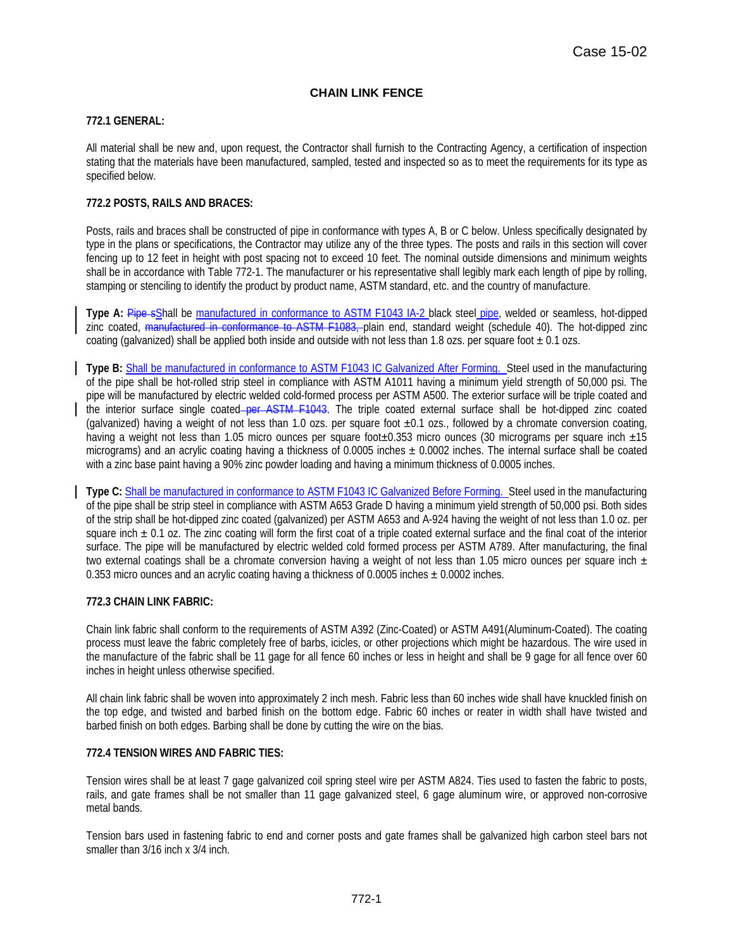## **CHAIN LINK FENCE**

#### **772.1 GENERAL:**

All material shall be new and, upon request, the Contractor shall furnish to the Contracting Agency, a certification of inspection stating that the materials have been manufactured, sampled, tested and inspected so as to meet the requirements for its type as specified below.

#### **772.2 POSTS, RAILS AND BRACES:**

Posts, rails and braces shall be constructed of pipe in conformance with types A, B or C below. Unless specifically designated by type in the plans or specifications, the Contractor may utilize any of the three types. The posts and rails in this section will cover fencing up to 12 feet in height with post spacing not to exceed 10 feet. The nominal outside dimensions and minimum weights shall be in accordance with Table 772-1. The manufacturer or his representative shall legibly mark each length of pipe by rolling, stamping or stenciling to identify the product by product name, ASTM standard, etc. and the country of manufacture.

**Type A:** Pipe sShall be manufactured in conformance to ASTM F1043 IA-2 black steel pipe, welded or seamless, hot-dipped zinc coated, manufactured in conformance to ASTM F1083, plain end, standard weight (schedule 40). The hot-dipped zinc coating (galvanized) shall be applied both inside and outside with not less than 1.8 ozs. per square foot  $\pm$  0.1 ozs.

**Type B:** Shall be manufactured in conformance to ASTM F1043 IC Galvanized After Forming. Steel used in the manufacturing of the pipe shall be hot-rolled strip steel in compliance with ASTM A1011 having a minimum yield strength of 50,000 psi. The pipe will be manufactured by electric welded cold-formed process per ASTM A500. The exterior surface will be triple coated and the interior surface single coated per ASTM F1043. The triple coated external surface shall be hot-dipped zinc coated (galvanized) having a weight of not less than 1.0 ozs. per square foot  $\pm 0.1$  ozs., followed by a chromate conversion coating, having a weight not less than 1.05 micro ounces per square foot $\pm 0.353$  micro ounces (30 micrograms per square inch  $\pm 15$ micrograms) and an acrylic coating having a thickness of 0.0005 inches  $\pm$  0.0002 inches. The internal surface shall be coated with a zinc base paint having a 90% zinc powder loading and having a minimum thickness of 0.0005 inches.

**Type C:** Shall be manufactured in conformance to ASTM F1043 IC Galvanized Before Forming. Steel used in the manufacturing of the pipe shall be strip steel in compliance with ASTM A653 Grade D having a minimum yield strength of 50,000 psi. Both sides of the strip shall be hot-dipped zinc coated (galvanized) per ASTM A653 and A-924 having the weight of not less than 1.0 oz. per square inch  $\pm$  0.1 oz. The zinc coating will form the first coat of a triple coated external surface and the final coat of the interior surface. The pipe will be manufactured by electric welded cold formed process per ASTM A789. After manufacturing, the final two external coatings shall be a chromate conversion having a weight of not less than 1.05 micro ounces per square inch  $\pm$ 0.353 micro ounces and an acrylic coating having a thickness of 0.0005 inches  $\pm$  0.0002 inches.

#### **772.3 CHAIN LINK FABRIC:**

Chain link fabric shall conform to the requirements of ASTM A392 (Zinc-Coated) or ASTM A491(Aluminum-Coated). The coating process must leave the fabric completely free of barbs, icicles, or other projections which might be hazardous. The wire used in the manufacture of the fabric shall be 11 gage for all fence 60 inches or less in height and shall be 9 gage for all fence over 60 inches in height unless otherwise specified.

All chain link fabric shall be woven into approximately 2 inch mesh. Fabric less than 60 inches wide shall have knuckled finish on the top edge, and twisted and barbed finish on the bottom edge. Fabric 60 inches or reater in width shall have twisted and barbed finish on both edges. Barbing shall be done by cutting the wire on the bias.

#### **772.4 TENSION WIRES AND FABRIC TIES:**

Tension wires shall be at least 7 gage galvanized coil spring steel wire per ASTM A824. Ties used to fasten the fabric to posts, rails, and gate frames shall be not smaller than 11 gage galvanized steel, 6 gage aluminum wire, or approved non-corrosive metal bands.

Tension bars used in fastening fabric to end and corner posts and gate frames shall be galvanized high carbon steel bars not smaller than 3/16 inch x 3/4 inch.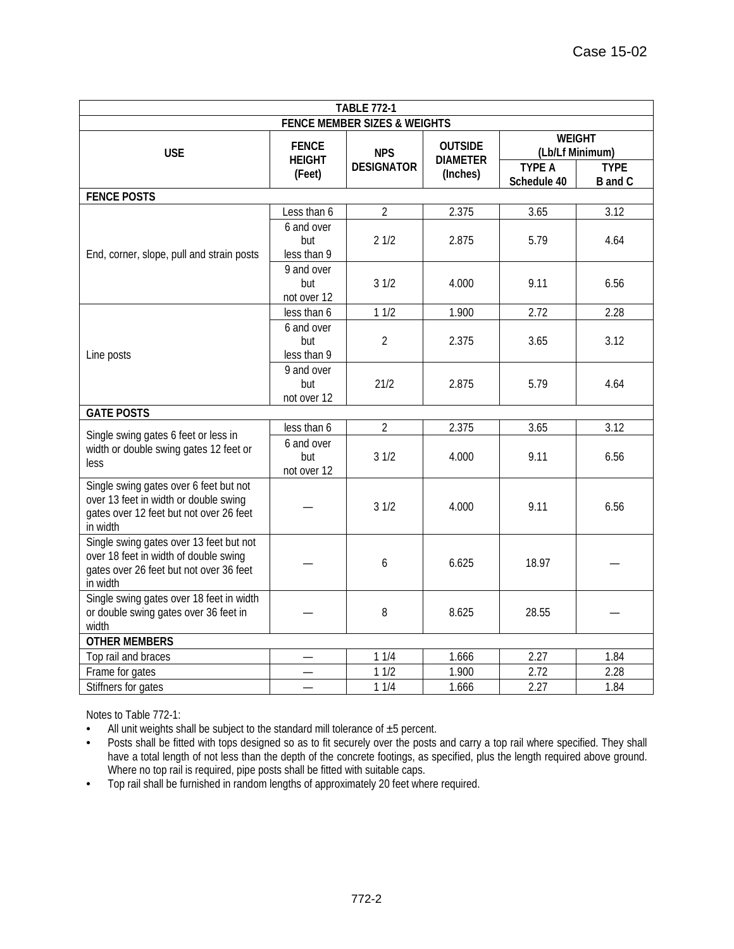| <b>TABLE 772-1</b>                                                                                                                      |                                               |                                 |                                               |                                                                  |         |  |  |  |  |
|-----------------------------------------------------------------------------------------------------------------------------------------|-----------------------------------------------|---------------------------------|-----------------------------------------------|------------------------------------------------------------------|---------|--|--|--|--|
| <b>FENCE MEMBER SIZES &amp; WEIGHTS</b>                                                                                                 |                                               |                                 |                                               |                                                                  |         |  |  |  |  |
| <b>USE</b>                                                                                                                              | <b>FENCE</b><br><b>HEIGHT</b><br>(Feet)       | <b>NPS</b><br><b>DESIGNATOR</b> | <b>OUTSIDE</b><br><b>DIAMETER</b><br>(Inches) | <b>WEIGHT</b><br>(Lb/Lf Minimum)<br><b>TYPE A</b><br><b>TYPE</b> |         |  |  |  |  |
|                                                                                                                                         |                                               |                                 |                                               | Schedule 40                                                      | B and C |  |  |  |  |
| <b>FENCE POSTS</b>                                                                                                                      |                                               |                                 |                                               |                                                                  |         |  |  |  |  |
|                                                                                                                                         | Less than 6                                   | $\overline{2}$                  | 2.375                                         | 3.65                                                             | 3.12    |  |  |  |  |
| End, corner, slope, pull and strain posts                                                                                               | 6 and over<br>but<br>less than 9              | 21/2                            | 2.875                                         | 5.79                                                             | 4.64    |  |  |  |  |
|                                                                                                                                         | $\overline{9}$ and over<br>but<br>not over 12 | 31/2                            | 4.000                                         | 9.11                                                             | 6.56    |  |  |  |  |
|                                                                                                                                         | less than 6                                   | 11/2                            | 1.900                                         | 2.72                                                             | 2.28    |  |  |  |  |
| Line posts                                                                                                                              | 6 and over<br>but<br>less than 9              | $\overline{2}$                  | 2.375                                         | 3.65                                                             | 3.12    |  |  |  |  |
|                                                                                                                                         | 9 and over<br>but<br>not over 12              | 21/2                            | 2.875                                         | 5.79                                                             | 4.64    |  |  |  |  |
| <b>GATE POSTS</b>                                                                                                                       |                                               |                                 |                                               |                                                                  |         |  |  |  |  |
| Single swing gates 6 feet or less in                                                                                                    | less than 6                                   | $\overline{2}$                  | 2.375                                         | 3.65                                                             | 3.12    |  |  |  |  |
| width or double swing gates 12 feet or<br>less                                                                                          | 6 and over<br>but<br>not over 12              | 31/2                            | 4.000                                         | 9.11                                                             | 6.56    |  |  |  |  |
| Single swing gates over 6 feet but not<br>over 13 feet in width or double swing<br>gates over 12 feet but not over 26 feet<br>in width  |                                               | 31/2                            | 4.000                                         | 9.11                                                             | 6.56    |  |  |  |  |
| Single swing gates over 13 feet but not<br>over 18 feet in width of double swing<br>gates over 26 feet but not over 36 feet<br>in width |                                               | 6                               | 6.625                                         | 18.97                                                            |         |  |  |  |  |
| Single swing gates over 18 feet in width<br>or double swing gates over 36 feet in<br>width                                              |                                               | 8                               | 8.625                                         | 28.55                                                            |         |  |  |  |  |
| <b>OTHER MEMBERS</b>                                                                                                                    |                                               |                                 |                                               |                                                                  |         |  |  |  |  |
| Top rail and braces                                                                                                                     |                                               | 11/4                            | 1.666                                         | 2.27                                                             | 1.84    |  |  |  |  |
| Frame for gates                                                                                                                         |                                               | 11/2                            | 1.900                                         | 2.72                                                             | 2.28    |  |  |  |  |
| Stiffners for gates                                                                                                                     |                                               | 11/4                            | 1.666                                         | 2.27                                                             | 1.84    |  |  |  |  |

Notes to Table 772-1:

• All unit weights shall be subject to the standard mill tolerance of  $\pm 5$  percent.

- Posts shall be fitted with tops designed so as to fit securely over the posts and carry a top rail where specified. They shall have a total length of not less than the depth of the concrete footings, as specified, plus the length required above ground. Where no top rail is required, pipe posts shall be fitted with suitable caps.
- Top rail shall be furnished in random lengths of approximately 20 feet where required.